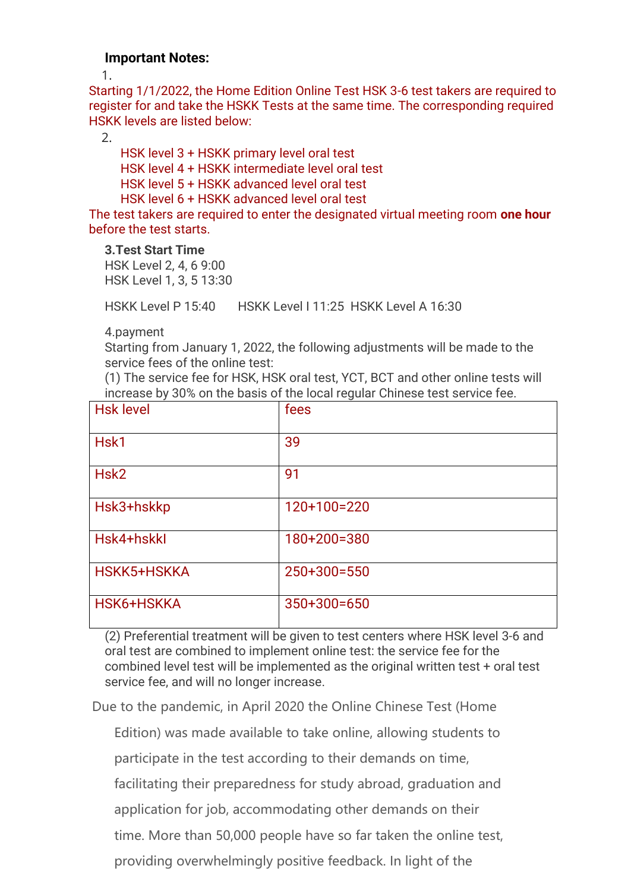#### **Important Notes:**

1.

Starting 1/1/2022, the Home Edition Online Test HSK 3-6 test takers are required to register for and take the HSKK Tests at the same time. The corresponding required HSKK levels are listed below:

2.

HSK level 3 + HSKK primary level oral test HSK level 4 + HSKK intermediate level oral test HSK level 5 + HSKK advanced level oral test HSK level 6 + HSKK advanced level oral test

The test takers are required to enter the designated virtual meeting room **one hour** before the test starts.

**3.Test Start Time** 

HSK Level 2, 4, 6 9:00 HSK Level 1, 3, 5 13:30

HSKK Level P 15:40 HSKK Level I 11:25 HSKK Level A 16:30

4.payment

Starting from January 1, 2022, the following adjustments will be made to the service fees of the online test:

(1) The service fee for HSK, HSK oral test, YCT, BCT and other online tests will increase by 30% on the basis of the local regular Chinese test service fee.

| <b>Hsk level</b> | fees          |
|------------------|---------------|
| Hsk1             | 39            |
| Hsk <sub>2</sub> | 91            |
| Hsk3+hskkp       | $120+100=220$ |
| Hsk4+hskkl       | 180+200=380   |
| HSKK5+HSKKA      | 250+300=550   |
| HSK6+HSKKA       | $350+300=650$ |

(2) Preferential treatment will be given to test centers where HSK level 3-6 and oral test are combined to implement online test: the service fee for the combined level test will be implemented as the original written test + oral test service fee, and will no longer increase.

Due to the pandemic, in April 2020 the Online Chinese Test (Home

Edition) was made available to take online, allowing students to

participate in the test according to their demands on time,

facilitating their preparedness for study abroad, graduation and

application for job, accommodating other demands on their

time. More than 50,000 people have so far taken the online test,

providing overwhelmingly positive feedback. In light of the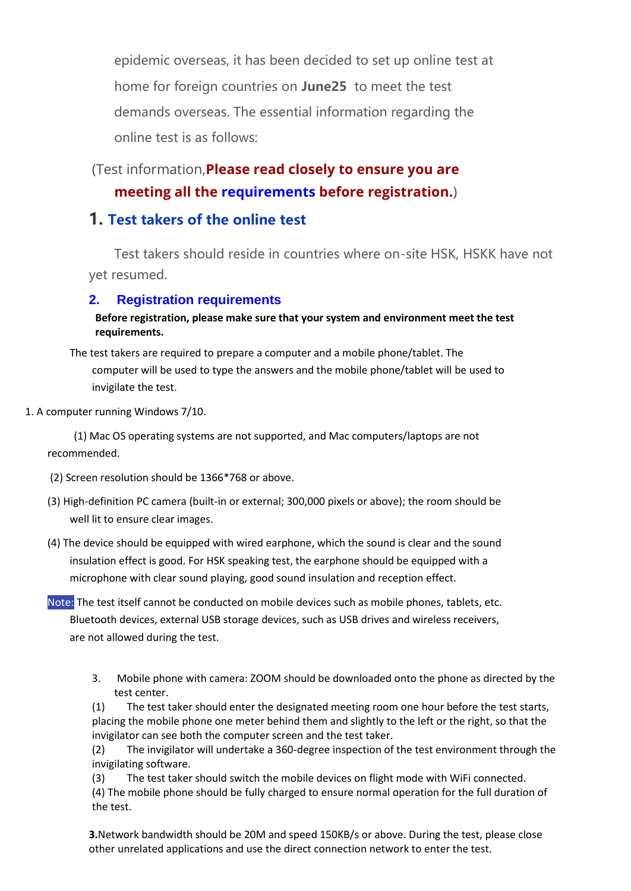epidemic overseas, it has been decided to set up online test at home for foreign countries on **June25** to meet the test demands overseas. The essential information regarding the online test is as follows:

### (Test information,**Please read closely to ensure you are meeting all the [requirements](https://drive.google.com/file/d/1-J5PaXuuuHXB-GylR0mXPE3JNtIioDyD/view?usp=sharing) before registration.**)

### **1. Test takers of the online test**

Test takers should reside in countries where on-site HSK, HSKK have not yet resumed.

#### **2. Registration requirements**

#### **Before registration, please make sure that your system and environment meet the test requirements.**

The test takers are required to prepare a computer and a mobile phone/tablet. The computer will be used to type the answers and the mobile phone/tablet will be used to invigilate the test.

1. A computer running Windows 7/10.

(1) Mac OS operating systems are not supported, and Mac computers/laptops are not recommended.

- (2) Screen resolution should be 1366\*768 or above.
- (3) High-definition PC camera (built-in or external; 300,000 pixels or above); the room should be well lit to ensure clear images.
- (4) The device should be equipped with wired earphone, which the sound is clear and the sound insulation effect is good. For HSK speaking test, the earphone should be equipped with a microphone with clear sound playing, good sound insulation and reception effect.

Note: The test itself cannot be conducted on mobile devices such as mobile phones, tablets, etc. Bluetooth devices, external USB storage devices, such as USB drives and wireless receivers, are not allowed during the test.

3. Mobile phone with camera: ZOOM should be downloaded onto the phone as directed by the test center.

(1) The test taker should enter the designated meeting room one hour before the test starts, placing the mobile phone one meter behind them and slightly to the left or the right, so that the invigilator can see both the computer screen and the test taker.

(2) The invigilator will undertake a 360-degree inspection of the test environment through the invigilating software.

(3) The test taker should switch the mobile devices on flight mode with WiFi connected. (4) The mobile phone should be fully charged to ensure normal operation for the full duration of the test.

**3.**Network bandwidth should be 20M and speed 150KB/s or above. During the test, please close other unrelated applications and use the direct connection network to enter the test.